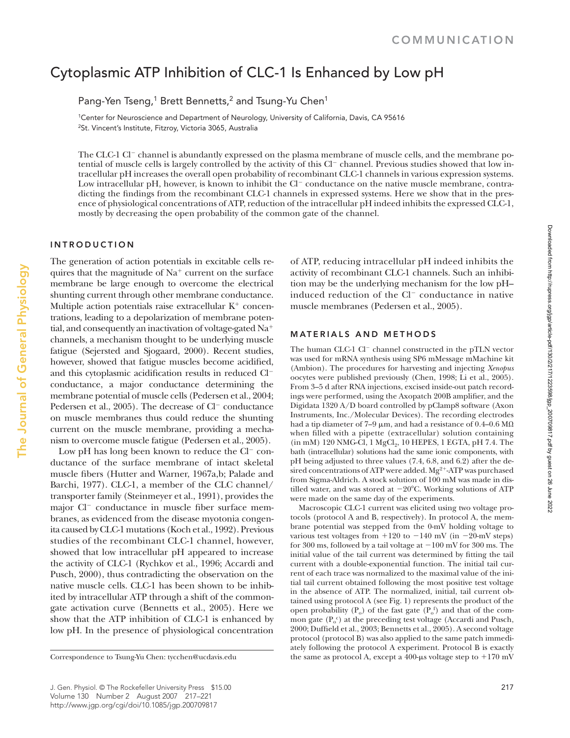# Cytoplasmic ATP Inhibition of CLC-1 Is Enhanced by Low pH

Pang-Yen Tseng,<sup>1</sup> Brett Bennetts,<sup>2</sup> and Tsung-Yu Chen<sup>1</sup>

1Center for Neuroscience and Department of Neurology, University of California, Davis, CA 95616 2St. Vincent's Institute, Fitzroy, Victoria 3065, Australia

The CLC-1 Cl<sup>−</sup> channel is abundantly expressed on the plasma membrane of muscle cells, and the membrane potential of muscle cells is largely controlled by the activity of this Cl<sup>−</sup> channel. Previous studies showed that low intracellular pH increases the overall open probability of recombinant CLC-1 channels in various expression systems. Low intracellular pH, however, is known to inhibit the Cl<sup>−</sup> conductance on the native muscle membrane, contradicting the findings from the recombinant CLC-1 channels in expressed systems. Here we show that in the presence of physiological concentrations of ATP, reduction of the intracellular pH indeed inhibits the expressed CLC-1, mostly by decreasing the open probability of the common gate of the channel.

## **INTRODUCTION**

The generation of action potentials in excitable cells requires that the magnitude of  $Na<sup>+</sup>$  current on the surface membrane be large enough to overcome the electrical shunting current through other membrane conductance. Multiple action potentials raise extracellular  $K^+$  concentrations, leading to a depolarization of membrane potential, and consequently an inactivation of voltage-gated Na<sup>+</sup> channels, a mechanism thought to be underlying muscle fatigue (Sejersted and Sjogaard, 2000). Recent studies, however, showed that fatigue muscles become acidified, and this cytoplasmic acidification results in reduced Cl<sup>−</sup> conductance, a major conductance determining the membrane potential of muscle cells (Pedersen et al., 2004; Pedersen et al., 2005). The decrease of Cl<sup>−</sup> conductance on muscle membranes thus could reduce the shunting current on the muscle membrane, providing a mechanism to overcome muscle fatigue (Pedersen et al., 2005).

Low pH has long been known to reduce the Cl<sup>−</sup> conductance of the surface membrane of intact skeletal muscle fibers (Hutter and Warner, 1967a,b; Palade and Barchi, 1977). CLC-1, a member of the CLC channel/ transporter family (Steinmeyer et al., 1991), provides the major Cl<sup>−</sup> conductance in muscle fiber surface membranes, as evidenced from the disease myotonia congenita caused by CLC-1 mutations (Koch et al., 1992). Previous studies of the recombinant CLC-1 channel, however, showed that low intracellular pH appeared to increase the activity of CLC-1 (Rychkov et al., 1996; Accardi and Pusch, 2000), thus contradicting the observation on the native muscle cells. CLC-1 has been shown to be inhibited by intracellular ATP through a shift of the commongate activation curve (Bennetts et al., 2005). Here we show that the ATP inhibition of CLC-1 is enhanced by low pH. In the presence of physiological concentration

of ATP, reducing intracellular pH indeed inhibits the activity of recombinant CLC-1 channels. Such an inhibition may be the underlying mechanism for the low pH– induced reduction of the Cl<sup>−</sup> conductance in native muscle membranes (Pedersen et al., 2005).

## **MATERIALS AND METHODS**

The human CLC-1 Cl<sup>−</sup> channel constructed in the pTLN vector was used for mRNA synthesis using SP6 mMessage mMachine kit (Ambion). The procedures for harvesting and injecting *Xenopus* oocytes were published previously (Chen, 1998; Li et al., 2005). From 3–5 d after RNA injections, excised inside-out patch recordings were performed, using the Axopatch 200B amplifier, and the Digidata 1320 A/D board controlled by pClamp8 software (Axon Instruments, Inc./Molecular Devices). The recording electrodes had a tip diameter of 7–9 μm, and had a resistance of 0.4–0.6 MΩ when filled with a pipette (extracellular) solution containing  $(in mM) 120 NMG-Cl, 1 MgCl<sub>9</sub>, 10 HEPES, 1 EGTA, pH 7.4. The$ bath (intracellular) solutions had the same ionic components, with pH being adjusted to three values (7.4, 6.8, and 6.2) after the desired concentrations of ATP were added.  $\rm Mg^{2+}$  -ATP was purchased from Sigma-Aldrich. A stock solution of 100 mM was made in distilled water, and was stored at −20°C. Working solutions of ATP were made on the same day of the experiments.

Macroscopic CLC-1 current was elicited using two voltage protocols (protocol A and B, respectively). In protocol A, the membrane potential was stepped from the 0-mV holding voltage to various test voltages from  $+120$  to  $-140$  mV (in  $-20$ -mV steps) for 300 ms, followed by a tail voltage at −100 mV for 300 ms. The initial value of the tail current was determined by fitting the tail current with a double-exponential function. The initial tail current of each trace was normalized to the maximal value of the initial tail current obtained following the most positive test voltage in the absence of ATP. The normalized, initial, tail current obtained using protocol A (see Fig. 1) represents the product of the open probability  $(P_0)$  of the fast gate  $(P_0)$  and that of the common gate  $(P_o^c)$  at the preceding test voltage (Accardi and Pusch, 2000; Duffield et al., 2003; Bennetts et al., 2005). A second voltage protocol (protocol B) was also applied to the same patch immediately following the protocol A experiment. Protocol B is exactly Correspondence to Tsung-Yu Chen: tycchen@ucdavis.edu the same as protocol A, except a 400-μs voltage step to +170 mV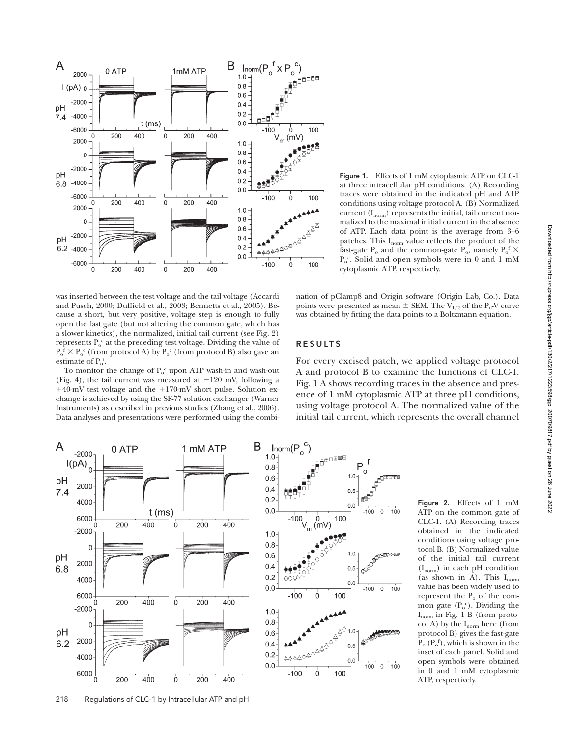

was inserted between the test voltage and the tail voltage (Accardi and Pusch, 2000; Duffield et al., 2003; Bennetts et al., 2005). Because a short, but very positive, voltage step is enough to fully open the fast gate (but not altering the common gate, which has a slower kinetics), the normalized, initial tail current (see Fig. 2) represents  $P_0^c$  at the preceding test voltage. Dividing the value of  $P_0^f \times P_0^c$  (from protocol A) by  $P_0^c$  (from protocol B) also gave an estimate of  $P_0^f$ .

To monitor the change of  $P_o^c$  upon ATP wash-in and wash-out (Fig. 4), the tail current was measured at −120 mV, following a +40-mV test voltage and the +170-mV short pulse. Solution exchange is achieved by using the SF-77 solution exchanger (Warner Instruments) as described in previous studies (Zhang et al., 2006). Data analyses and presentations were performed using the combi-



nation of pClamp8 and Origin software (Origin Lab, Co.). Data points were presented as mean  $\pm$  SEM. The V<sub>1/2</sub> of the P<sub>o</sub>-V curve was obtained by fitting the data points to a Boltzmann equation.

#### **RESULTS**

For every excised patch, we applied voltage protocol A and protocol B to examine the functions of CLC-1. Fig. 1 A shows recording traces in the absence and presence of 1 mM cytoplasmic ATP at three pH conditions, using voltage protocol A. The normalized value of the initial tail current, which represents the overall channel



ATP on the common gate of CLC-1. (A) Recording traces obtained in the indicated conditions using voltage protocol B. (B) Normalized value of the initial tail current  $(I_{norm})$  in each pH condition (as shown in A). This  $I_{norm}$ value has been widely used to represent the  $P_0$  of the common gate  $(P_o^c)$ . Dividing the  $I_{norm}$  in Fig. 1 B (from protocol A) by the  $I_{norm}$  here (from protocol B) gives the fast-gate  $P_o (P_o^f)$ , which is shown in the inset of each panel. Solid and open symbols were obtained in 0 and 1 mM cytoplasmic ATP, respectively.

**Figure 2.** Effects of 1 mM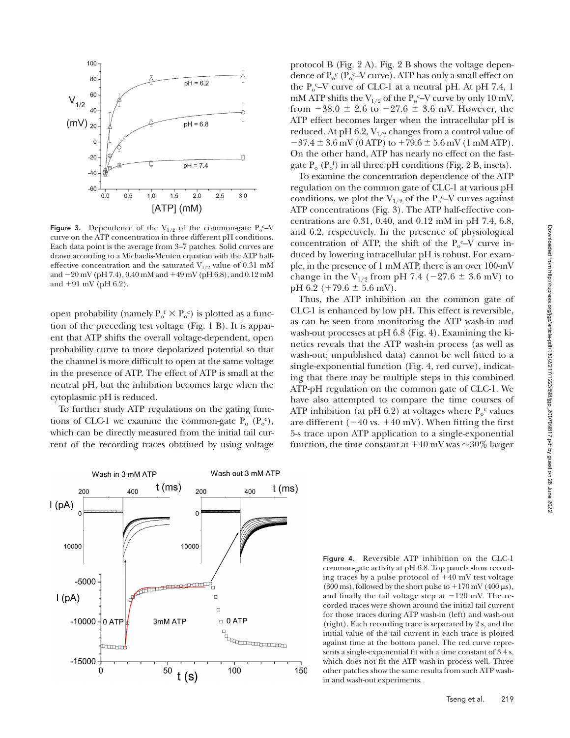

**Figure 3.** Dependence of the  $V_{1/2}$  of the common-gate  $P_0^c - V$ curve on the ATP concentration in three different pH conditions. Each data point is the average from 3–7 patches. Solid curves are drawn according to a Michaelis-Menten equation with the ATP halfeffective concentration and the saturated  $V_{1/2}$  value of 0.31 mM and −20 mV (pH 7.4), 0.40 mM and +49 mV (pH 6.8), and 0.12 mM and  $+91 \text{ mV}$  (pH 6.2).

open probability (namely  $P_0^f \times P_0^c$ ) is plotted as a function of the preceding test voltage (Fig. 1 B). It is apparent that ATP shifts the overall voltage-dependent, open probability curve to more depolarized potential so that the channel is more difficult to open at the same voltage in the presence of ATP. The effect of ATP is small at the neutral pH, but the inhibition becomes large when the cytoplasmic pH is reduced.

To further study ATP regulations on the gating functions of CLC-1 we examine the common-gate  $P_o(P_o^c)$ , which can be directly measured from the initial tail current of the recording traces obtained by using voltage

protocol B (Fig. 2 A). Fig. 2 B shows the voltage dependence of  $P_o^c$  ( $P_o^c$ –V curve). ATP has only a small effect on the  $P_0^c$ –V curve of CLC-1 at a neutral pH. At pH 7.4, 1 mM ATP shifts the  $V_{1/2}$  of the  $P_0$ <sup>c</sup>–V curve by only 10 mV, from  $-38.0 \pm 2.6$  to  $-27.6 \pm 3.6$  mV. However, the ATP effect becomes larger when the intracellular pH is reduced. At pH 6.2,  $V_{1/2}$  changes from a control value of  $-37.4 \pm 3.6$  mV (0 ATP) to  $+79.6 \pm 5.6$  mV (1 mM ATP). On the other hand, ATP has nearly no effect on the fastgate  $P_o$  ( $P_o^f$ ) in all three pH conditions (Fig. 2 B, insets).

To examine the concentration dependence of the ATP regulation on the common gate of CLC-1 at various pH conditions, we plot the  $V_{1/2}$  of the  $P_0^c$ –V curves against ATP concentrations (Fig. 3). The ATP half-effective concentrations are 0.31, 0.40, and 0.12 mM in pH 7.4, 6.8, and 6.2, respectively. In the presence of physiological concentration of ATP, the shift of the  $P_0^{\ c}-V$  curve induced by lowering intracellular pH is robust. For example, in the presence of 1 mM ATP, there is an over 100-mV change in the V<sub>1/2</sub> from pH 7.4 (−27.6  $\pm$  3.6 mV) to pH 6.2 ( $+79.6 \pm 5.6$  mV).

Thus, the ATP inhibition on the common gate of CLC-1 is enhanced by low pH. This effect is reversible, as can be seen from monitoring the ATP wash-in and wash-out processes at pH 6.8 (Fig. 4). Examining the kinetics reveals that the ATP wash-in process (as well as wash-out; unpublished data) cannot be well fitted to a single-exponential function (Fig. 4, red curve), indicating that there may be multiple steps in this combined ATP-pH regulation on the common gate of CLC-1. We have also attempted to compare the time courses of ATP inhibition (at pH 6.2) at voltages where  $P_o^c$  values are different  $(-40 \text{ vs. } +40 \text{ mV})$ . When fitting the first 5-s trace upon ATP application to a single-exponential function, the time constant at  $+40$  mV was  $\sim$ 30% larger



**Figure 4.** Reversible ATP inhibition on the CLC-1 common-gate activity at pH 6.8. Top panels show recording traces by a pulse protocol of +40 mV test voltage (300 ms), followed by the short pulse to  $+170$  mV (400  $\mu$ s), and finally the tail voltage step at  $-120$  mV. The recorded traces were shown around the initial tail current for those traces during ATP wash-in (left) and wash-out (right). Each recording trace is separated by 2 s, and the initial value of the tail current in each trace is plotted against time at the bottom panel. The red curve represents a single-exponential fit with a time constant of 3.4 s, which does not fit the ATP wash-in process well. Three other patches show the same results from such ATP washin and wash-out experiments.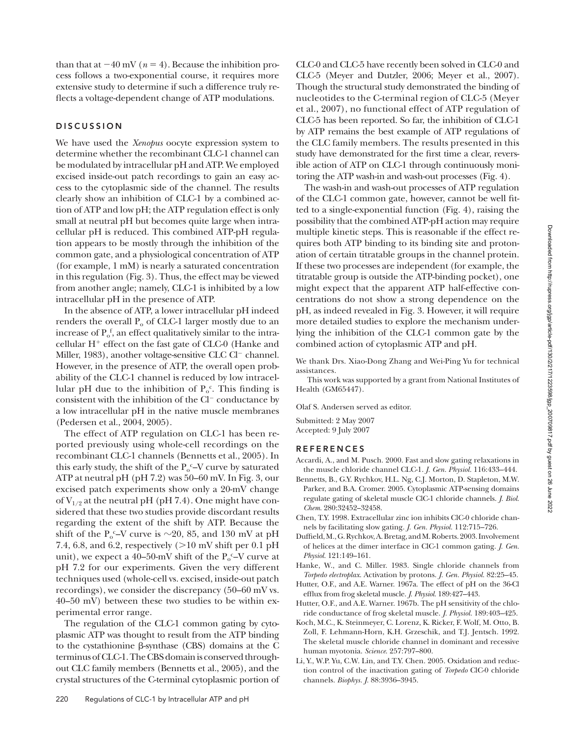than that at  $-40$  mV ( $n = 4$ ). Because the inhibition process follows a two-exponential course, it requires more extensive study to determine if such a difference truly reflects a voltage-dependent change of ATP modulations.

## **DISCUSSION**

We have used the *Xenopus* oocyte expression system to determine whether the recombinant CLC-1 channel can be modulated by intracellular pH and ATP. We employed excised inside-out patch recordings to gain an easy access to the cytoplasmic side of the channel. The results clearly show an inhibition of CLC-1 by a combined action of ATP and low pH; the ATP regulation effect is only small at neutral pH but becomes quite large when intracellular pH is reduced. This combined ATP-pH regulation appears to be mostly through the inhibition of the common gate, and a physiological concentration of ATP (for example, 1 mM) is nearly a saturated concentration in this regulation (Fig. 3). Thus, the effect may be viewed from another angle; namely, CLC-1 is inhibited by a low intracellular pH in the presence of ATP.

In the absence of ATP, a lower intracellular pH indeed renders the overall  $P_0$  of CLC-1 larger mostly due to an increase of  $P_o^f$ , an effect qualitatively similar to the intracellular  $H^+$  effect on the fast gate of CLC-0 (Hanke and Miller, 1983), another voltage-sensitive CLC Cl<sup>−</sup> channel. However, in the presence of ATP, the overall open probability of the CLC-1 channel is reduced by low intracellular pH due to the inhibition of  $P_0^c$ . This finding is consistent with the inhibition of the Cl<sup>−</sup> conductance by a low intracellular pH in the native muscle membranes (Pedersen et al., 2004, 2005).

The effect of ATP regulation on CLC-1 has been reported previously using whole-cell recordings on the recombinant CLC-1 channels (Bennetts et al., 2005). In this early study, the shift of the  $P_0^c$ -V curve by saturated ATP at neutral pH (pH 7.2) was 50–60 mV. In Fig. 3, our excised patch experiments show only a 20-mV change of  $V_{1/2}$  at the neutral pH (pH 7.4). One might have considered that these two studies provide discordant results regarding the extent of the shift by ATP. Because the shift of the P<sub>0</sub><sup>c</sup>-V curve is  $\sim$ 20, 85, and 130 mV at pH 7.4, 6.8, and 6.2, respectively  $(>10 \text{ mV} \text{ shift per } 0.1 \text{ pH}$ unit), we expect a 40–50-mV shift of the  $P_0^{\ c}-V$  curve at pH 7.2 for our experiments. Given the very different techniques used (whole-cell vs. excised, inside-out patch recordings), we consider the discrepancy (50–60 mV vs. 40–50 mV) between these two studies to be within experimental error range.

The regulation of the CLC-1 common gating by cytoplasmic ATP was thought to result from the ATP binding to the cystathionine β-synthase (CBS) domains at the C terminus of CLC-1. The CBS domain is conserved throughout CLC family members (Bennetts et al., 2005), and the crystal structures of the C-terminal cytoplasmic portion of CLC-0 and CLC-5 have recently been solved in CLC-0 and CLC-5 (Meyer and Dutzler, 2006; Meyer et al., 2007). Though the structural study demonstrated the binding of nucleotides to the C-terminal region of CLC-5 (Meyer et al., 2007), no functional effect of ATP regulation of CLC-5 has been reported. So far, the inhibition of CLC-1 by ATP remains the best example of ATP regulations of the CLC family members. The results presented in this study have demonstrated for the first time a clear, reversible action of ATP on CLC-1 through continuously monitoring the ATP wash-in and wash-out processes (Fig. 4).

The wash-in and wash-out processes of ATP regulation of the CLC-1 common gate, however, cannot be well fitted to a single-exponential function (Fig. 4), raising the possibility that the combined ATP-pH action may require multiple kinetic steps. This is reasonable if the effect requires both ATP binding to its binding site and protonation of certain titratable groups in the channel protein. If these two processes are independent (for example, the titratable group is outside the ATP-binding pocket), one might expect that the apparent ATP half-effective concentrations do not show a strong dependence on the pH, as indeed revealed in Fig. 3. However, it will require more detailed studies to explore the mechanism underlying the inhibition of the CLC-1 common gate by the combined action of cytoplasmic ATP and pH.

We thank Drs. Xiao-Dong Zhang and Wei-Ping Yu for technical assistances.

This work was supported by a grant from National Institutes of Health (GM65447).

Olaf S. Andersen served as editor.

Submitted: 2 May 2007 Accepted: 9 July 2007

#### **R E F E R E N C E S**

- Accardi, A., and M. Pusch. 2000. Fast and slow gating relaxations in the muscle chloride channel CLC-1. *J. Gen. Physiol.* 116:433–444.
- Bennetts, B., G.Y. Rychkov, H.L. Ng, C.J. Morton, D. Stapleton, M.W. Parker, and B.A. Cromer. 2005. Cytoplasmic ATP-sensing domains regulate gating of skeletal muscle ClC-1 chloride channels. *J. Biol. Chem.* 280:32452–32458.
- Chen, T.Y. 1998. Extracellular zinc ion inhibits ClC-0 chloride channels by facilitating slow gating. *J. Gen. Physiol.* 112:715–726.
- Duffield, M., G. Rychkov, A. Bretag, and M. Roberts. 2003. Involvement of helices at the dimer interface in ClC-1 common gating. *J. Gen. Physiol.* 121:149–161.
- Hanke, W., and C. Miller. 1983. Single chloride channels from *Torpedo electroplax*. Activation by protons. *J. Gen. Physiol.* 82:25–45.
- Hutter, O.F., and A.E. Warner. 1967a. The effect of pH on the 36-Cl efflux from frog skeletal muscle. *J. Physiol.* 189:427-443.
- Hutter, O.F., and A.E. Warner. 1967b. The pH sensitivity of the chloride conductance of frog skeletal muscle. *J. Physiol.* 189:403–425.
- Koch, M.C., K. Steinmeyer, C. Lorenz, K. Ricker, F. Wolf, M. Otto, B. Zoll, F. Lehmann-Horn, K.H. Grzeschik, and T.J. Jentsch. 1992. The skeletal muscle chloride channel in dominant and recessive human myotonia. *Science*. 257:797–800.
- Li, Y., W.P. Yu, C.W. Lin, and T.Y. Chen. 2005. Oxidation and reduction control of the inactivation gating of *Torpedo* ClC-0 chloride channels. *Biophys. J.* 88:3936–3945.